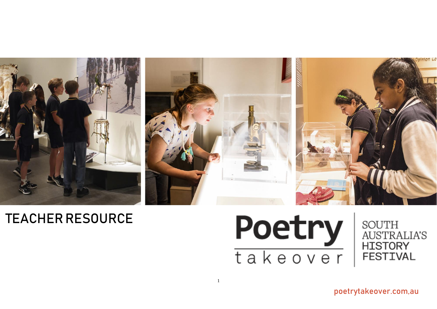

# TEACHER RESOURCE



poetrytakeover.com,au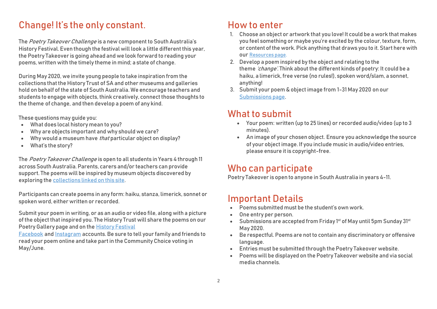# Change! It's the only constant.

The Poetry Takeover Challenge is a new component to South Australia's History Festival. Even though the festival will look a little different this year, the Poetry Takeover is going ahead and we look forward to reading your poems, written with the timely theme in mind; a state of change.

During May 2020, we invite young people to take inspiration from the collections that the History Trust of SA and other museums and galleries hold on behalf of the state of South Australia. We encourage teachers and students to engage with objects, think creatively, connect those thoughts to the theme of change, and then develop a poem of any kind.

These questions may guide you:

- What does local history mean to you?
- Why are objects important and why should we care?
- Why would a museum have *that* particular object on display?
- What's the story?

The Poetry Takeover Challenge is open to all students in Years 4 through 11 across South Australia. Parents, carers and/or teachers can provide support. The poems will be inspired by museum objects discovered by exploring the [collections](https://poetrytakeover.com.au/resources/) linked on this site.

Participants can create poems in any form: haiku, stanza, limerick, sonnet or spoken word, either written or recorded.

Submit your poem in writing, or as an audio or video file, along with a picture of the object that inspired you. The History Trust will share the poems on our Poetry Gallery page and on the History [Festival](https://www.facebook.com/HistoryFestival/)

[Facebook](https://www.facebook.com/HistoryFestival/) and [Instagram](https://www.instagram.com/historyfestival/) accounts. Be sure to tell your family and friends to read your poem online and take part in the Community Choice voting in May/June.

### How to enter

- 1. Choose an object or artwork that you love! It could be a work that makes you feel something or maybe you're excited by the colour, texture, form, or content of the work. Pick anything that draws you to it. Start here with our [Resources page.](https://poetrytakeover.com.au/resources/)
- 2. Develop a poem inspired by the object and relating to the theme 'change'. Think about the different kinds of poetry: It could be a haiku, a limerick, free verse (no rules!), spoken word/slam, a sonnet, anything!
- 3. Submit your poem & object image from 1-31 May 2020 on our [Submissions page.](https://poetrytakeover.com.au/submit-your-poem/)

### What to submit

- Your poem: written (up to 25 lines) or recorded audio/video (up to 3 minutes).
- An image of your chosen object. Ensure you acknowledge the source of your object image. If you include music in audio/video entries, please ensure it is copyright-free.

### Who can participate

Poetry Takeover is open to anyone in South Australia in years 4-11.

## Important Details

- Poems submitted must be the student's own work.
- One entry per person.
- $\bullet$  Submissions are accepted from Friday 1st of May until 5pm Sunday 31st May 2020.
- Be respectful. Poems are not to contain any discriminatory or offensive language.
- Entries must be submitted through the Poetry Takeover website.
- Poems will be displayed on the Poetry Takeover website and via social media channels.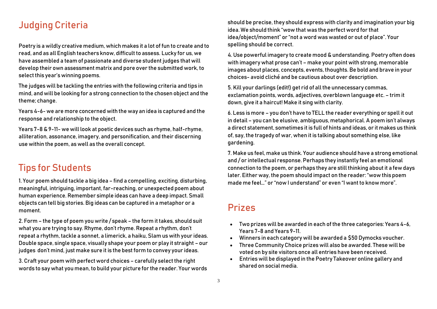### Judging Criteria

Poetry is a wildly creative medium, which makes it a lot of fun to create and to read, and as all English teachers know, difficult to assess. Lucky for us, we have assembled a team of passionate and diverse student judges that will develop their own assessment matrix and pore over the submitted work, to select this year's winning poems.

The judges will be tackling the entries with the following criteria and tips in mind, and will be looking for a strong connection to the chosen object and the theme; change.

Years 4-6- we are more concerned with the way an idea is captured and the response and relationship to the object.

Years 7-8 & 9-11- we will look at poetic devices such as rhyme, half-rhyme, alliteration, assonance, imagery, and personification, and their discerning use within the poem, as well as the overall concept.

### Tips for Students

1. Your poem should tackle a big idea – find a compelling, exciting, disturbing, meaningful, intriguing, important, far-reaching, or unexpected poem about human experience. Remember simple ideas can have a deep impact. Small objects can tell big stories. Big ideas can be captured in a metaphor or a moment.

2. Form – the type of poem you write / speak – the form it takes, should suit what you are trying to say. Rhyme, don't rhyme. Repeat a rhythm, don't repeat a rhythm, tackle a sonnet, a limerick, a haiku, Slam us with your ideas. Double space, single space, visually shape your poem or play it straight – our judges don't mind, just make sure it is the best form to convey your ideas.

3. Craft your poem with perfect word choices – carefully select the right words to say what you mean, to build your picture for the reader. Your words

should be precise, they should express with clarity and imagination your big idea. We should think "wow that was the perfect word for that idea/object/moment" or "not a word was wasted or out of place". Your spelling should be correct.

4. Use powerful imagery to create mood & understanding. Poetry often does with imagery what prose can't – make your point with strong, memorable images about places, concepts, events, thoughts. Be bold and brave in your choices- avoid cliché and be cautious about over description.

5. Kill your darlings (edit!) get rid of all the unnecessary commas, exclamation points, words, adjectives, overblown language etc. – trim it down, give it a haircut! Make it sing with clarity.

6. Less is more – you don't have to TELL the reader everything or spell it out in detail – you can be elusive, ambiguous, metaphorical. A poem isn't always a direct statement, sometimes it is full of hints and ideas, or it makes us think of, say, the tragedy of war, when it is talking about something else, like gardening.

7. Make us feel, make us think. Your audience should have a strong emotional and / or intellectual response. Perhaps they instantly feel an emotional connection to the poem, or perhaps they are still thinking about it a few days later. Either way, the poem should impact on the reader: "wow this poem made me feel…" or "now I understand" or even "I want to know more".

### Prizes

- Two prizes will be awarded in each of the three categories: Years 4-6, Years 7-8 and Years 9-11.
- Winners in each category will be awarded a \$50 Dymocks voucher.
- Three Community Choice prizes will also be awarded. These will be voted on by site visitors once all entries have been received.
- Entries will be displayed in the Poetry Takeover online gallery and shared on social media.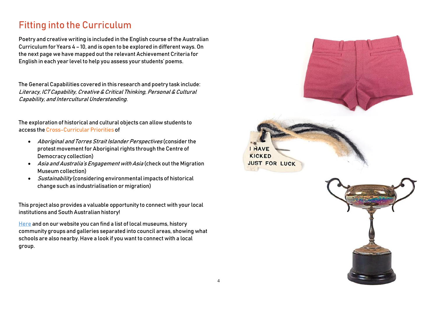# Fitting into the Curriculum

Poetry and creative writing is included in the English course of the Australian Curriculum for Years 4 – 10, and is open to be explored in different ways. On the next page we have mapped out the relevant Achievement Criteria for English in each year level to help you assess your students' poems.

The General Capabilities covered in this research and poetry task include: Literacy, ICT Capability, Creative & Critical Thinking, Personal & Cultural Capability, and Intercultural Understanding.

The exploration of historical and cultural objects can allow students to access the Cross-Curricular Priorities of

- Aboriginal and Torres Strait Islander Perspectives (consider the protest movement for Aboriginal rights through the Centre of Democracy collection)
- Asia and Australia's Engagement with Asia (check out the Migration Museum collection)
- $\bullet$  *Sustainability* (considering environmental impacts of historical change such as industrialisation or migration)

This project also provides a valuable opportunity to connect with your local institutions and South Australian history!

[Here](https://poetrytakeover.com.au/wp-content/uploads/2020/05/SA-community-museums-and-schools-list.pdf) and on our website you can find a list of local museums, history community groups and galleries separated into council areas, showing what schools are also nearby. Have a look if you want to connect with a local group.

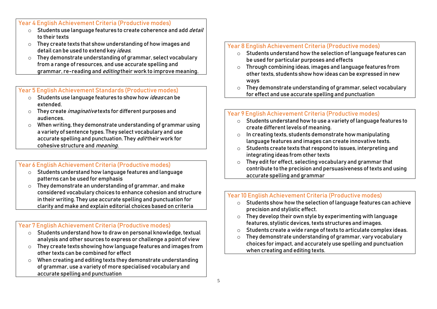Year 4 English Achievement Criteria (Productive modes)

- $\circ$  Students use language features to create coherence and add *detail* to their texts
- o They create texts that show understanding of how images and detail can be used to extend key *ideas*.
- o They demonstrate understanding of grammar, select vocabulary from a range of resources, and use accurate spelling and grammar, re-reading and *editing* their work to improve meaning.

### Year 5 English Achievement Standards (Productive modes)

- o Students use language features to show how ideas can be extended.
- o They create *imaginative* texts for different purposes and audiences.
- o When writing, they demonstrate understanding of grammar using a variety of sentence types. They select vocabulary and use accurate spelling and punctuation. They *edit* their work for cohesive structure and *meaning*.

#### Year 6 English Achievement Criteria (Productive modes)

- o Students understand how language features and language patterns can be used for emphasis
- o They demonstrate an understanding of grammar, and make considered vocabulary choices to enhance cohesion and structure in their writing. They use accurate spelling and punctuation for clarity and make and explain editorial choices based on criteria

### Year 7 English Achievement Criteria (Productive modes)

- o Students understand how to draw on personal knowledge, textual analysis and other sources to express or challenge a point of view
- o They create texts showing how language features and images from other texts can be combined for effect
- o When creating and editing texts they demonstrate understanding of grammar, use a variety of more specialised vocabulary and accurate spelling and punctuation

### Year 8 English Achievement Criteria (Productive modes)

- o Students understand how the selection of language features can be used for particular purposes and effects
- o Through combining ideas, images and language features from other texts, students show how ideas can be expressed in new ways
- o They demonstrate understanding of grammar, select vocabulary for effect and use accurate spelling and punctuation

### Year 9 English Achievement Criteria (Productive modes)

- o Students understand how to use a variety of language features to create different levels of meaning.
- $\circ$  In creating texts, students demonstrate how manipulating language features and images can create innovative texts.
- o Students create texts that respond to issues, interpreting and integrating ideas from other texts
- o They edit for effect, selecting vocabulary and grammar that contribute to the precision and persuasiveness of texts and using accurate spelling and grammar

### Year 10 English Achievement Criteria (Productive modes)

- o Students show how the selection of language features can achieve precision and stylistic effect.
- o They develop their own style by experimenting with language features, stylistic devices, texts structures and images.
- o Students create a wide range of texts to articulate complex ideas.
- o They demonstrate understanding of grammar, vary vocabulary choices for impact, and accurately use spelling and punctuation when creating and editing texts.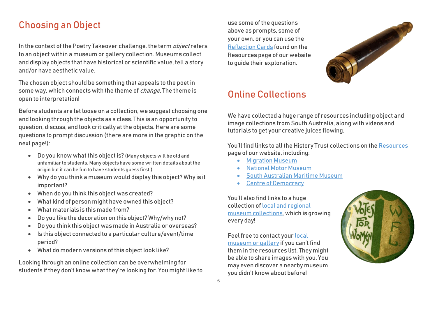# Choosing an Object

In the context of the Poetry Takeover challenge, the term *object* refers to an object within a museum or gallery collection. Museums collect and display objects that have historical or scientific value, tell a story and/or have aesthetic value.

The chosen object should be something that appeals to the poet in some way, which connects with the theme of *change*. The theme is open to interpretation!

Before students are let loose on a collection, we suggest choosing one and looking through the objects as a class. This is an opportunity to question, discuss, and look critically at the objects. Here are some questions to prompt discussion (there are more in the graphic on the next page!):

- Do you know what this object is? (Many objects will be old and unfamiliar to students. Many objects have some written details about the origin but it can be fun to have students guess first.)
- Why do you think a museum would display this object? Why is it important?
- When do you think this object was created?
- What kind of person might have owned this object?
- What materials is this made from?
- Do you like the decoration on this object? Why/why not?
- Do you think this object was made in Australia or overseas?
- Is this object connected to a particular culture/event/time period?
- What do modern versions of this object look like?

Looking through an online collection can be overwhelming for students if they don't know what they're looking for. You might like to

use some of the questions above as prompts, some of your own, or you can use the [Reflection Cards](https://poetrytakeover.com.au/resources/) found on the Resources page of our website to quide their exploration.



# Online Collections

We have collected a huge range of resources including object and image collections from South Australia, along with videos and tutorials to get your creative juices flowing.

You'll find links to all the History Trust collections on th[e Resources](https://poetrytakeover.com.au/resources/) page of our website, including:

- **•** [Migration Museum](https://artsandculture.google.com/partner/migration-museum-sa)
- [National Motor Museum](https://artsandculture.google.com/partner/national-motor-museum)
- [South Australian Maritime](https://artsandculture.google.com/partner/maritime-museum-sa) Museum
- [Centre of Democracy](http://centreofdemocracy.sa.gov.au/collection/)

You'll also find links to a huge collection of [local and regional](https://poetrytakeover.com.au/south-australian-collections/)  [museum collections,](https://poetrytakeover.com.au/south-australian-collections/) which is growing every day!

Feel free to contact your [local](https://poetrytakeover.com.au/wp-content/uploads/2020/05/SA-community-museums-and-schools-list.pdf)  [museum or gallery](https://poetrytakeover.com.au/wp-content/uploads/2020/05/SA-community-museums-and-schools-list.pdf) if you can't find them in the resources list. They might be able to share images with you. You may even discover a nearby museum you didn't know about before!

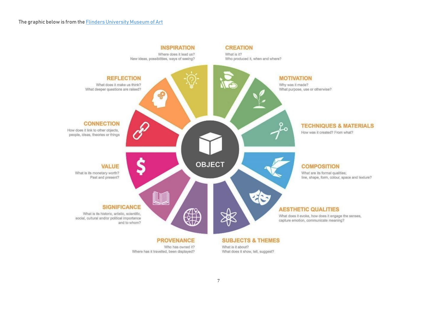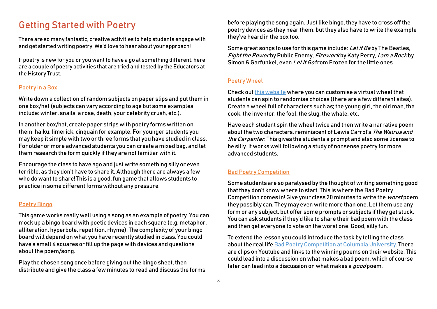### Getting Started with Poetry

There are so many fantastic, creative activities to help students engage with and get started writing poetry. We'd love to hear about your approach!

If poetry is new for you or you want to have a go at something different, here are a couple of poetry activities that are tried and tested by the Educators at the History Trust.

#### Poetry in a Box

Write down a collection of random subjects on paper slips and put them in one box/hat (subjects can vary according to age but some examples include: winter, snails, a rose, death, your celebrity crush, etc.).

In another box/hat, create paper strips with poetry forms written on them; haiku, limerick, cinquain for example. For younger students you may keep it simple with two or three forms that you have studied in class. For older or more advanced students you can create a mixed bag, and let them research the form quickly if they are not familiar with it.

Encourage the class to have ago and just write something silly or even terrible, as they don't have to share it. Although there are always a few who do want to share! This is a good, fun game that allows students to practice in some different forms without any pressure.

#### Poetry Bingo

This game works really well using a song as an example of poetry. You can mock up a bingo board with poetic devices in each square (e.g. metaphor, alliteration, hyperbole, repetition, rhyme). The complexity of your bingo board will depend on what you have recently studied in class. You could have a small 4 squares or fill up the page with devices and questions about the poem/song.

Play the chosen song once before giving out the bingo sheet, then distribute and give the class a few minutes to read and discuss the forms

before playing the song again. Just like bingo, they have to cross off the poetry devices as they hear them, but they also have to write the example they've heard in the box too.

Some great songs to use for this game include: Let it Beby The Beatles, Fight the Power by Public Enemy, Firework by Katy Perry, I am a Rock by Simon & Garfunkel, even *Let It Go* from Frozen for the little ones.

#### Poetry Wheel

Check out this [website](https://wheeldecide.com/) where you can customise a virtual wheel that students can spin to randomise choices (there are a few different sites). Create a wheel full of characters such as; the young girl, the old man, the cook, the inventor, the fool, the slug, the whale, etc.

Have each student spin the wheel twice and then write a narrative poem about the two characters, reminiscent of Lewis Carrol's The Walrus and the Carpenter. This gives the students a prompt and also some license to be silly. It works well following a study of nonsense poetry for more advanced students.

#### Bad Poetry Competition

Some students are so paralysed by the thought of writing something good that they don't know where to start. This is where the Bad Poetry Competition comes in! Give your class 20 minutes to write the worst poem they possibly can. They may even write more than one. Let them use any form or any subject, but offer some prompts or subjects if they get stuck. You can ask students if they'd like to share their bad poem with the class and then get everyone to vote on the worst one. Good, silly fun.

To extend the lesson you could introduce the task by telling the class about the real lif[e Bad Poetry Competition at Columbia University.](https://www.nytimes.com/2018/11/18/nyregion/bad-poem-contest-columbia-kilmer.html) There are clips on Youtube and links to the winning poems on their website. This could lead into a discussion on what makes a bad poem, which of course later can lead into a discussion on what makes a good poem.